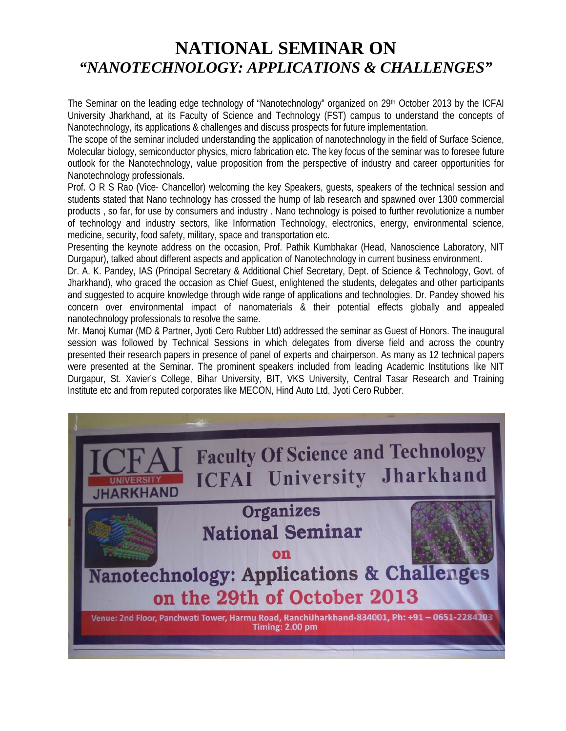## **NATIONAL SEMINAR ON**  *"NANOTECHNOLOGY: APPLICATIONS & CHALLENGES"*

The Seminar on the leading edge technology of "Nanotechnology" organized on 29<sup>th</sup> October 2013 by the ICFAI University Jharkhand, at its Faculty of Science and Technology (FST) campus to understand the concepts of Nanotechnology, its applications & challenges and discuss prospects for future implementation.

The scope of the seminar included understanding the application of nanotechnology in the field of Surface Science, Molecular biology, semiconductor physics, micro fabrication etc. The key focus of the seminar was to foresee future outlook for the Nanotechnology, value proposition from the perspective of industry and career opportunities for Nanotechnology professionals.

Prof. O R S Rao (Vice- Chancellor) welcoming the key Speakers, guests, speakers of the technical session and students stated that Nano technology has crossed the hump of lab research and spawned over 1300 commercial products , so far, for use by consumers and industry . Nano technology is poised to further revolutionize a number of technology and industry sectors, like Information Technology, electronics, energy, environmental science, medicine, security, food safety, military, space and transportation etc.

Presenting the keynote address on the occasion, Prof. Pathik Kumbhakar (Head, Nanoscience Laboratory, NIT Durgapur), talked about different aspects and application of Nanotechnology in current business environment.

Dr. A. K. Pandey, IAS (Principal Secretary & Additional Chief Secretary, Dept. of Science & Technology, Govt. of Jharkhand), who graced the occasion as Chief Guest, enlightened the students, delegates and other participants and suggested to acquire knowledge through wide range of applications and technologies. Dr. Pandey showed his concern over environmental impact of nanomaterials & their potential effects globally and appealed nanotechnology professionals to resolve the same.

Mr. Manoj Kumar (MD & Partner, Jyoti Cero Rubber Ltd) addressed the seminar as Guest of Honors. The inaugural session was followed by Technical Sessions in which delegates from diverse field and across the country presented their research papers in presence of panel of experts and chairperson. As many as 12 technical papers were presented at the Seminar. The prominent speakers included from leading Academic Institutions like NIT Durgapur, St. Xavier's College, Bihar University, BIT, VKS University, Central Tasar Research and Training Institute etc and from reputed corporates like MECON, Hind Auto Ltd, Jyoti Cero Rubber.

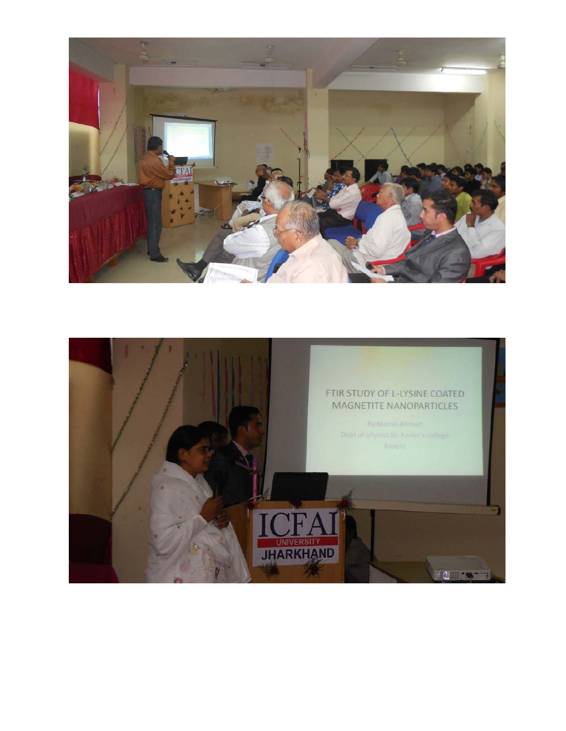

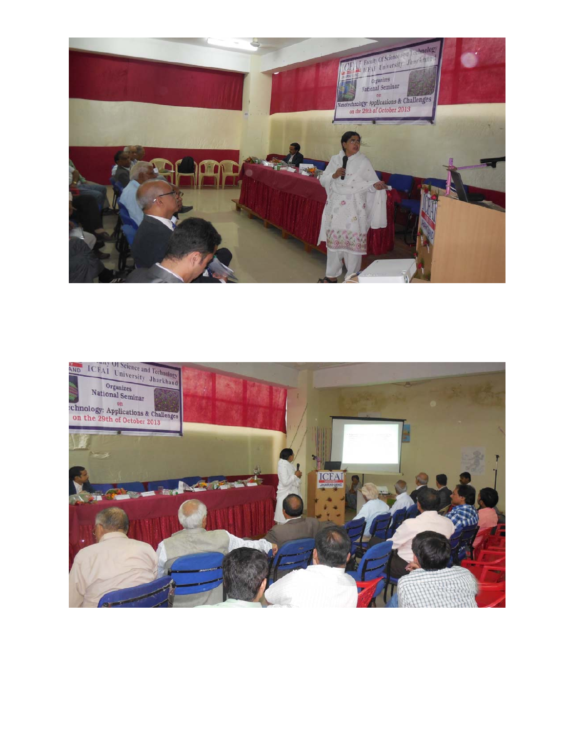

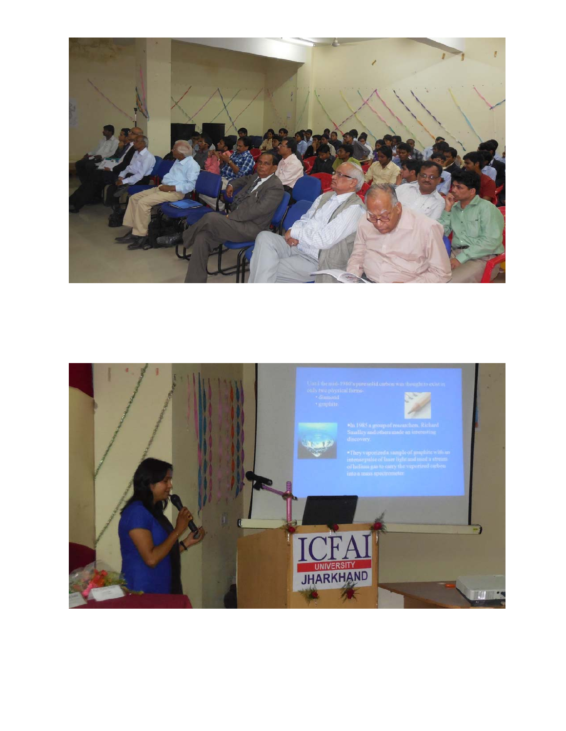

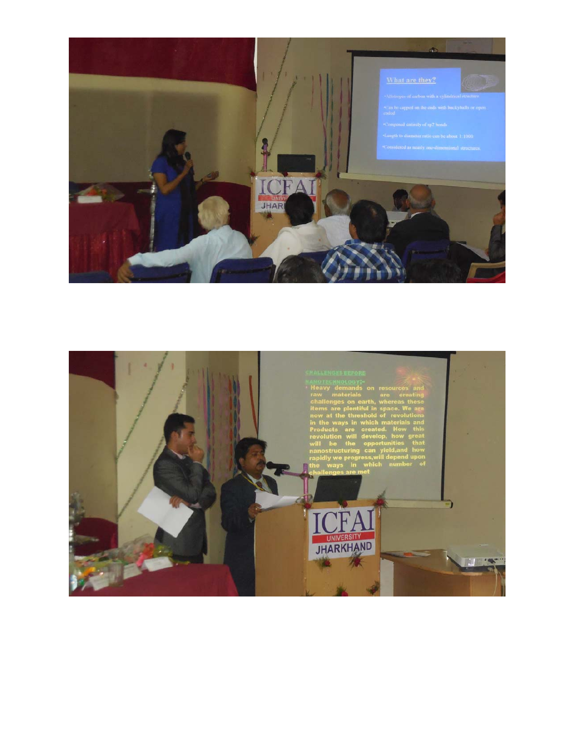

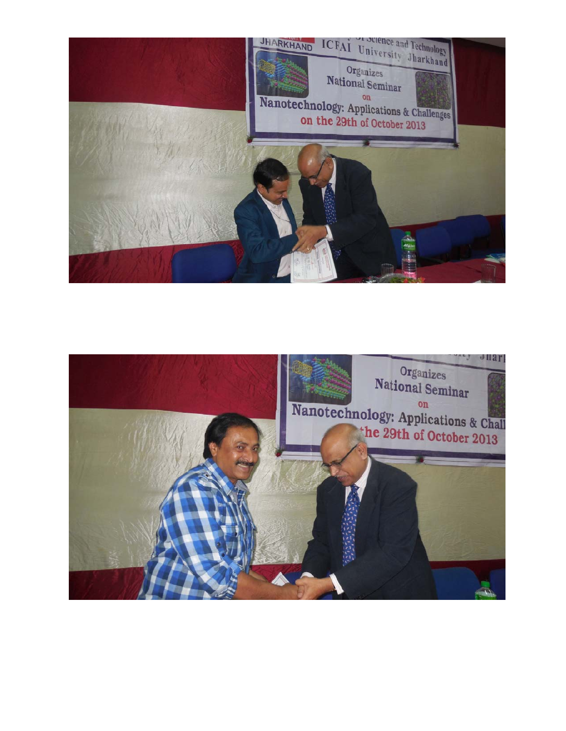

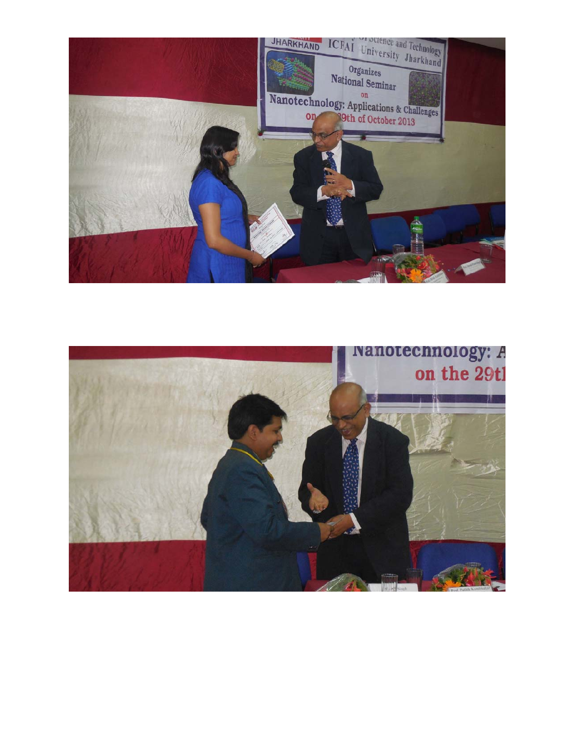